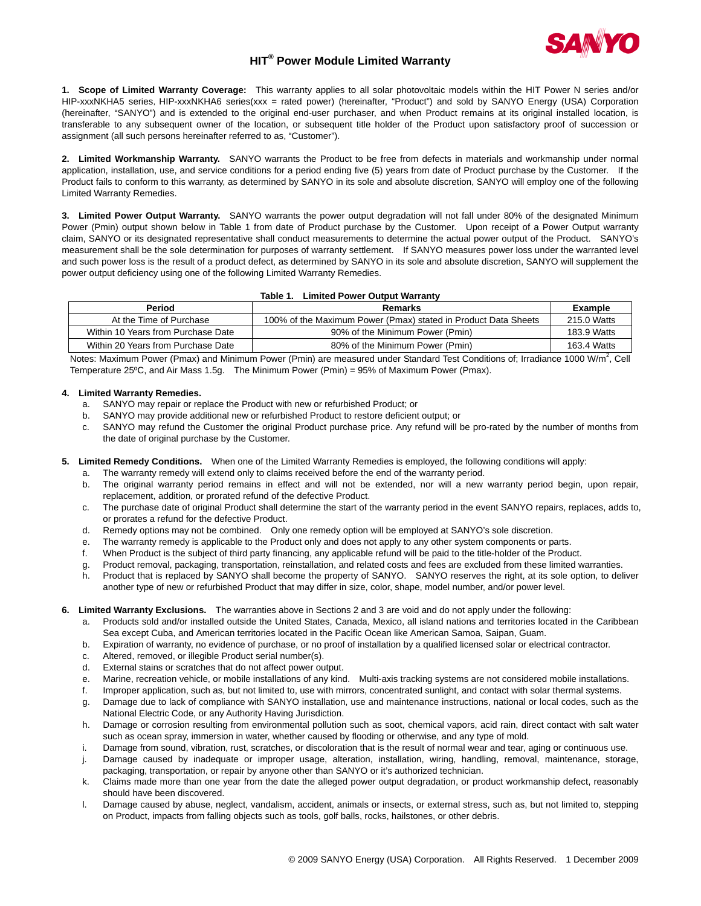

## **HIT® Power Module Limited Warranty**

**1. Scope of Limited Warranty Coverage:** This warranty applies to all solar photovoltaic models within the HIT Power N series and/or HIP-xxxNKHA5 series, HIP-xxxNKHA6 series(xxx = rated power) (hereinafter, "Product") and sold by SANYO Energy (USA) Corporation (hereinafter, "SANYO") and is extended to the original end-user purchaser, and when Product remains at its original installed location, is transferable to any subsequent owner of the location, or subsequent title holder of the Product upon satisfactory proof of succession or assignment (all such persons hereinafter referred to as, "Customer").

**2. Limited Workmanship Warranty.** SANYO warrants the Product to be free from defects in materials and workmanship under normal application, installation, use, and service conditions for a period ending five (5) years from date of Product purchase by the Customer. If the Product fails to conform to this warranty, as determined by SANYO in its sole and absolute discretion, SANYO will employ one of the following Limited Warranty Remedies.

**3. Limited Power Output Warranty.** SANYO warrants the power output degradation will not fall under 80% of the designated Minimum Power (Pmin) output shown below in Table 1 from date of Product purchase by the Customer. Upon receipt of a Power Output warranty claim, SANYO or its designated representative shall conduct measurements to determine the actual power output of the Product. SANYO's measurement shall be the sole determination for purposes of warranty settlement. If SANYO measures power loss under the warranted level and such power loss is the result of a product defect, as determined by SANYO in its sole and absolute discretion, SANYO will supplement the power output deficiency using one of the following Limited Warranty Remedies.

| Table 1. Limited Power Output Warranty |  |
|----------------------------------------|--|
|----------------------------------------|--|

| Period                             | Remarks                                                        | Example     |
|------------------------------------|----------------------------------------------------------------|-------------|
| At the Time of Purchase            | 100% of the Maximum Power (Pmax) stated in Product Data Sheets | 215.0 Watts |
| Within 10 Years from Purchase Date | 90% of the Minimum Power (Pmin)                                | 183.9 Watts |
| Within 20 Years from Purchase Date | 80% of the Minimum Power (Pmin)                                | 163.4 Watts |

Notes: Maximum Power (Pmax) and Minimum Power (Pmin) are measured under Standard Test Conditions of; Irradiance 1000 W/m<sup>2</sup>, Cell Temperature 25ºC, and Air Mass 1.5g. The Minimum Power (Pmin) = 95% of Maximum Power (Pmax).

## **4. Limited Warranty Remedies.**

- a. SANYO may repair or replace the Product with new or refurbished Product; or
- b. SANYO may provide additional new or refurbished Product to restore deficient output; or
- c. SANYO may refund the Customer the original Product purchase price. Any refund will be pro-rated by the number of months from the date of original purchase by the Customer.

## **5. Limited Remedy Conditions.** When one of the Limited Warranty Remedies is employed, the following conditions will apply:

- a. The warranty remedy will extend only to claims received before the end of the warranty period.
- b. The original warranty period remains in effect and will not be extended, nor will a new warranty period begin, upon repair, replacement, addition, or prorated refund of the defective Product.
- c. The purchase date of original Product shall determine the start of the warranty period in the event SANYO repairs, replaces, adds to, or prorates a refund for the defective Product.
- d. Remedy options may not be combined. Only one remedy option will be employed at SANYO's sole discretion.
- e. The warranty remedy is applicable to the Product only and does not apply to any other system components or parts.
- f. When Product is the subject of third party financing, any applicable refund will be paid to the title-holder of the Product.
- g. Product removal, packaging, transportation, reinstallation, and related costs and fees are excluded from these limited warranties.
- h. Product that is replaced by SANYO shall become the property of SANYO. SANYO reserves the right, at its sole option, to deliver another type of new or refurbished Product that may differ in size, color, shape, model number, and/or power level.

## **6. Limited Warranty Exclusions.** The warranties above in Sections 2 and 3 are void and do not apply under the following:

- Products sold and/or installed outside the United States, Canada, Mexico, all island nations and territories located in the Caribbean Sea except Cuba, and American territories located in the Pacific Ocean like American Samoa, Saipan, Guam.
- b. Expiration of warranty, no evidence of purchase, or no proof of installation by a qualified licensed solar or electrical contractor.
- c. Altered, removed, or illegible Product serial number(s).
- d. External stains or scratches that do not affect power output.
- e. Marine, recreation vehicle, or mobile installations of any kind. Multi-axis tracking systems are not considered mobile installations.
- f. Improper application, such as, but not limited to, use with mirrors, concentrated sunlight, and contact with solar thermal systems.
- g. Damage due to lack of compliance with SANYO installation, use and maintenance instructions, national or local codes, such as the National Electric Code, or any Authority Having Jurisdiction.
- h. Damage or corrosion resulting from environmental pollution such as soot, chemical vapors, acid rain, direct contact with salt water such as ocean spray, immersion in water, whether caused by flooding or otherwise, and any type of mold.
- i. Damage from sound, vibration, rust, scratches, or discoloration that is the result of normal wear and tear, aging or continuous use.
- j. Damage caused by inadequate or improper usage, alteration, installation, wiring, handling, removal, maintenance, storage, packaging, transportation, or repair by anyone other than SANYO or it's authorized technician.
- k. Claims made more than one year from the date the alleged power output degradation, or product workmanship defect, reasonably should have been discovered.
- l. Damage caused by abuse, neglect, vandalism, accident, animals or insects, or external stress, such as, but not limited to, stepping on Product, impacts from falling objects such as tools, golf balls, rocks, hailstones, or other debris.